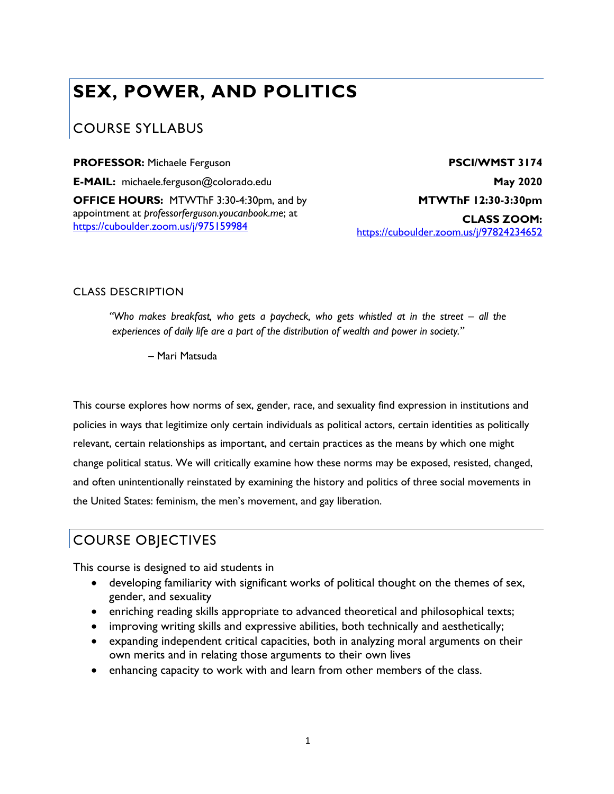# **SEX, POWER, AND POLITICS**

# COURSE SYLLABUS

**PROFESSOR:** Michaele Ferguson

**E-MAIL:** michaele.ferguson@colorado.edu **OFFICE HOURS:** MTWThF 3:30-4:30pm, and by appointment at *professorferguson.youcanbook.me*; at https://cuboulder.zoom.us/j/975159984

**PSCI/WMST 3174 May 2020 MTWThF 12:30-3:30pm CLASS ZOOM:**  https://cuboulder.zoom.us/j/97824234652

### CLASS DESCRIPTION

*"Who makes breakfast, who gets a paycheck, who gets whistled at in the street – all the experiences of daily life are a part of the distribution of wealth and power in society."*

– Mari Matsuda

This course explores how norms of sex, gender, race, and sexuality find expression in institutions and policies in ways that legitimize only certain individuals as political actors, certain identities as politically relevant, certain relationships as important, and certain practices as the means by which one might change political status. We will critically examine how these norms may be exposed, resisted, changed, and often unintentionally reinstated by examining the history and politics of three social movements in the United States: feminism, the men's movement, and gay liberation.

# COURSE OBJECTIVES

This course is designed to aid students in

- developing familiarity with significant works of political thought on the themes of sex, gender, and sexuality
- enriching reading skills appropriate to advanced theoretical and philosophical texts;
- improving writing skills and expressive abilities, both technically and aesthetically;
- expanding independent critical capacities, both in analyzing moral arguments on their own merits and in relating those arguments to their own lives
- enhancing capacity to work with and learn from other members of the class.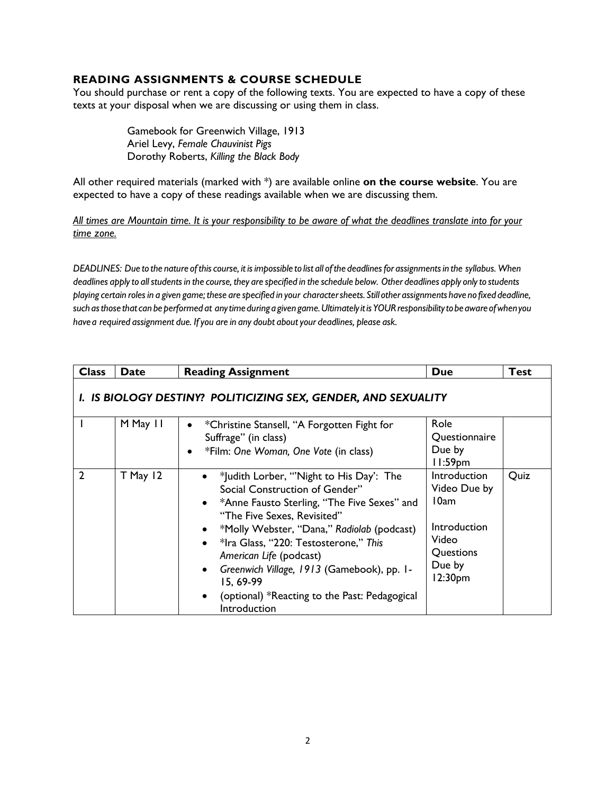#### **READING ASSIGNMENTS & COURSE SCHEDULE**

You should purchase or rent a copy of the following texts. You are expected to have a copy of these texts at your disposal when we are discussing or using them in class.

> Gamebook for Greenwich Village, 1913 Ariel Levy, *Female Chauvinist Pigs* Dorothy Roberts, *Killing the Black Body*

All other required materials (marked with \*) are available online **on the course website**. You are expected to have a copy of these readings available when we are discussing them.

*All times are Mountain time. It is your responsibility to be aware of what the deadlines translate into for your time zone.*

DEADLINES: Due to the nature of this course, it is impossible to list all of the deadlines for assignments in the syllabus. When deadlines apply to all students in the course, they are specified in the schedule below. Other deadlines apply only to students playing certain roles in a given game; these are specified in your character sheets. Still other assignments have no fixed deadline, *such asthose thatcan be performed at anytimeduringagivengame.UltimatelyitisYOURresponsibilitytobeawareofwhenyou havea required assignment due. Ifyou are in any doubt aboutyour deadlines, please ask.*

| <b>Class</b>                                                   | <b>Date</b> | <b>Reading Assignment</b>                                                                                                                                                                                                                                                                                                                                                                                                                                                           | <b>Due</b>                                                                                      | <b>Test</b> |  |
|----------------------------------------------------------------|-------------|-------------------------------------------------------------------------------------------------------------------------------------------------------------------------------------------------------------------------------------------------------------------------------------------------------------------------------------------------------------------------------------------------------------------------------------------------------------------------------------|-------------------------------------------------------------------------------------------------|-------------|--|
| I. IS BIOLOGY DESTINY? POLITICIZING SEX, GENDER, AND SEXUALITY |             |                                                                                                                                                                                                                                                                                                                                                                                                                                                                                     |                                                                                                 |             |  |
|                                                                | M May 11    | *Christine Stansell, "A Forgotten Fight for<br>$\bullet$<br>Suffrage" (in class)<br>*Film: One Woman, One Vote (in class)<br>$\bullet$                                                                                                                                                                                                                                                                                                                                              | Role<br>Questionnaire<br>Due by<br>$11:59$ pm                                                   |             |  |
| $\overline{2}$                                                 | $T$ May 12  | *Judith Lorber, "Night to His Day': The<br>$\bullet$<br>Social Construction of Gender"<br>*Anne Fausto Sterling, "The Five Sexes" and<br>$\bullet$<br>"The Five Sexes, Revisited"<br>*Molly Webster, "Dana," Radiolab (podcast)<br>$\bullet$<br>*Ira Glass, "220: Testosterone," This<br>$\bullet$<br>American Life (podcast)<br>Greenwich Village, 1913 (Gamebook), pp. 1-<br>$\bullet$<br>15, 69-99<br>(optional) *Reacting to the Past: Pedagogical<br>$\bullet$<br>Introduction | Introduction<br>Video Due by<br>10am<br>Introduction<br>Video<br>Questions<br>Due by<br>12:30pm | Quiz        |  |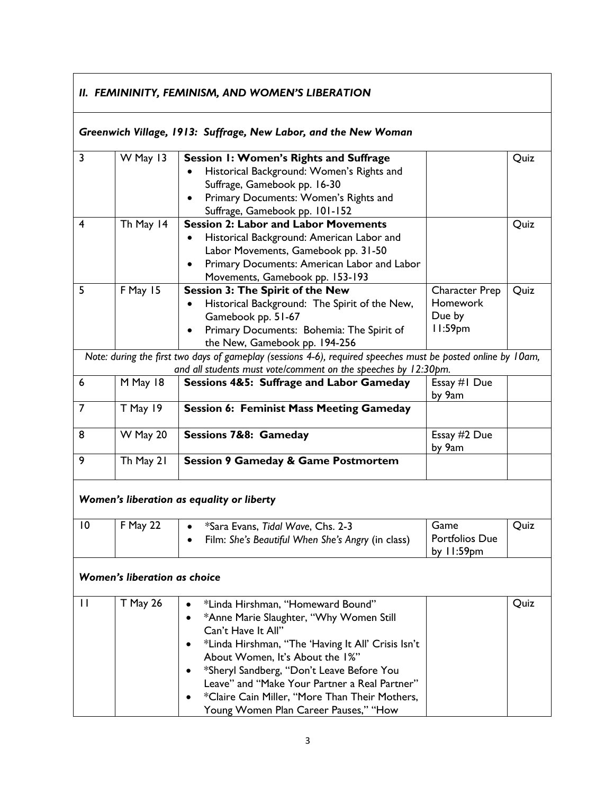# *II. FEMININITY, FEMINISM, AND WOMEN'S LIBERATION*

# *Greenwich Village, 1913: Suffrage, New Labor, and the New Woman*

| $\overline{3}$ | W May 13                            | Session 1: Women's Rights and Suffrage                                                                       |                       | Quiz |
|----------------|-------------------------------------|--------------------------------------------------------------------------------------------------------------|-----------------------|------|
|                |                                     | Historical Background: Women's Rights and                                                                    |                       |      |
|                |                                     | Suffrage, Gamebook pp. 16-30                                                                                 |                       |      |
|                |                                     | Primary Documents: Women's Rights and                                                                        |                       |      |
|                |                                     | Suffrage, Gamebook pp. 101-152                                                                               |                       |      |
| 4              | Th May 14                           | <b>Session 2: Labor and Labor Movements</b>                                                                  |                       | Quiz |
|                |                                     | Historical Background: American Labor and<br>$\bullet$                                                       |                       |      |
|                |                                     | Labor Movements, Gamebook pp. 31-50                                                                          |                       |      |
|                |                                     | Primary Documents: American Labor and Labor<br>$\bullet$                                                     |                       |      |
|                |                                     | Movements, Gamebook pp. 153-193                                                                              |                       |      |
| 5              | F May 15                            | <b>Session 3: The Spirit of the New</b>                                                                      | <b>Character Prep</b> | Quiz |
|                |                                     | Historical Background: The Spirit of the New,                                                                | <b>Homework</b>       |      |
|                |                                     | Gamebook pp. 51-67                                                                                           | Due by                |      |
|                |                                     | Primary Documents: Bohemia: The Spirit of                                                                    | $11:59$ pm            |      |
|                |                                     | the New, Gamebook pp. 194-256                                                                                |                       |      |
|                |                                     | Note: during the first two days of gameplay (sessions 4-6), required speeches must be posted online by 10am, |                       |      |
|                |                                     | and all students must vote/comment on the speeches by 12:30pm.                                               |                       |      |
| 6              | M May 18                            | Sessions 4&5: Suffrage and Labor Gameday                                                                     | Essay #1 Due          |      |
|                |                                     |                                                                                                              | by 9am                |      |
| $\overline{7}$ | T May 19                            | <b>Session 6: Feminist Mass Meeting Gameday</b>                                                              |                       |      |
| 8              | W May 20                            | Sessions 7&8: Gameday                                                                                        | Essay #2 Due          |      |
|                |                                     |                                                                                                              | by 9am                |      |
| 9              | Th May 21                           | <b>Session 9 Gameday &amp; Game Postmortem</b>                                                               |                       |      |
|                |                                     | Women's liberation as equality or liberty                                                                    |                       |      |
| $\overline{0}$ | F May 22                            | *Sara Evans, Tidal Wave, Chs. 2-3                                                                            | Game                  | Quiz |
|                |                                     | Film: She's Beautiful When She's Angry (in class)                                                            | <b>Portfolios Due</b> |      |
|                |                                     |                                                                                                              | by $11:59$ pm         |      |
|                | <b>Women's liberation as choice</b> |                                                                                                              |                       |      |
| П              | T May 26                            | *Linda Hirshman, "Homeward Bound"                                                                            |                       | Quiz |
|                |                                     | *Anne Marie Slaughter, "Why Women Still                                                                      |                       |      |
|                |                                     | Can't Have It All"                                                                                           |                       |      |
|                |                                     | *Linda Hirshman, "The 'Having It All' Crisis Isn't                                                           |                       |      |
|                |                                     | About Women, It's About the 1%"                                                                              |                       |      |
|                |                                     | *Sheryl Sandberg, "Don't Leave Before You                                                                    |                       |      |
|                |                                     | Leave" and "Make Your Partner a Real Partner"                                                                |                       |      |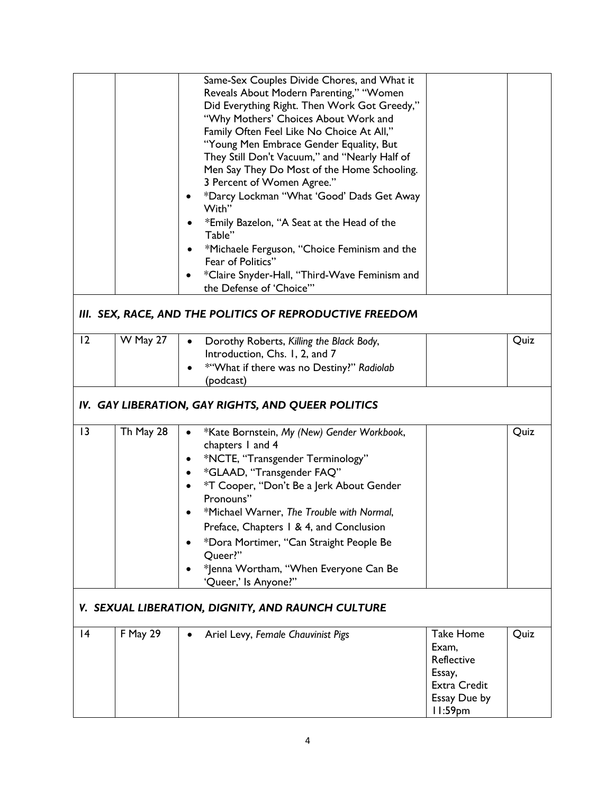|                                                   |                                                          | Same-Sex Couples Divide Chores, and What it<br>Reveals About Modern Parenting," "Women<br>Did Everything Right. Then Work Got Greedy,"<br>"Why Mothers' Choices About Work and<br>Family Often Feel Like No Choice At All,"<br>"Young Men Embrace Gender Equality, But<br>They Still Don't Vacuum," and "Nearly Half of<br>Men Say They Do Most of the Home Schooling.<br>3 Percent of Women Agree."<br>*Darcy Lockman "What 'Good' Dads Get Away<br>With"<br>*Emily Bazelon, "A Seat at the Head of the<br>Table"<br>*Michaele Ferguson, "Choice Feminism and the<br>Fear of Politics"<br>*Claire Snyder-Hall, "Third-Wave Feminism and<br>the Defense of 'Choice'" |                                                                                              |      |  |  |
|---------------------------------------------------|----------------------------------------------------------|----------------------------------------------------------------------------------------------------------------------------------------------------------------------------------------------------------------------------------------------------------------------------------------------------------------------------------------------------------------------------------------------------------------------------------------------------------------------------------------------------------------------------------------------------------------------------------------------------------------------------------------------------------------------|----------------------------------------------------------------------------------------------|------|--|--|
|                                                   | III. SEX, RACE, AND THE POLITICS OF REPRODUCTIVE FREEDOM |                                                                                                                                                                                                                                                                                                                                                                                                                                                                                                                                                                                                                                                                      |                                                                                              |      |  |  |
| 12                                                | W May 27                                                 | Dorothy Roberts, Killing the Black Body,<br>Introduction, Chs. 1, 2, and 7<br>*"What if there was no Destiny?" Radiolab<br>(podcast)                                                                                                                                                                                                                                                                                                                                                                                                                                                                                                                                 |                                                                                              | Quiz |  |  |
|                                                   | IV. GAY LIBERATION, GAY RIGHTS, AND QUEER POLITICS       |                                                                                                                                                                                                                                                                                                                                                                                                                                                                                                                                                                                                                                                                      |                                                                                              |      |  |  |
| 13                                                | Th May 28                                                | *Kate Bornstein, My (New) Gender Workbook,<br>chapters 1 and 4<br>*NCTE, "Transgender Terminology"<br>*GLAAD, "Transgender FAQ"<br>$\bullet$<br>*T Cooper, "Don't Be a Jerk About Gender<br>Pronouns"<br>*Michael Warner, The Trouble with Normal,<br>Preface, Chapters 1 & 4, and Conclusion<br>*Dora Mortimer, "Can Straight People Be<br>Queer?"<br>*Jenna Wortham, "When Everyone Can Be<br>'Queer,' Is Anyone?"                                                                                                                                                                                                                                                 |                                                                                              | Quiz |  |  |
| V. SEXUAL LIBERATION, DIGNITY, AND RAUNCH CULTURE |                                                          |                                                                                                                                                                                                                                                                                                                                                                                                                                                                                                                                                                                                                                                                      |                                                                                              |      |  |  |
| 4                                                 | <b>F May 29</b>                                          | Ariel Levy, Female Chauvinist Pigs                                                                                                                                                                                                                                                                                                                                                                                                                                                                                                                                                                                                                                   | <b>Take Home</b><br>Exam,<br>Reflective<br>Essay,<br>Extra Credit<br>Essay Due by<br>11:59pm | Quiz |  |  |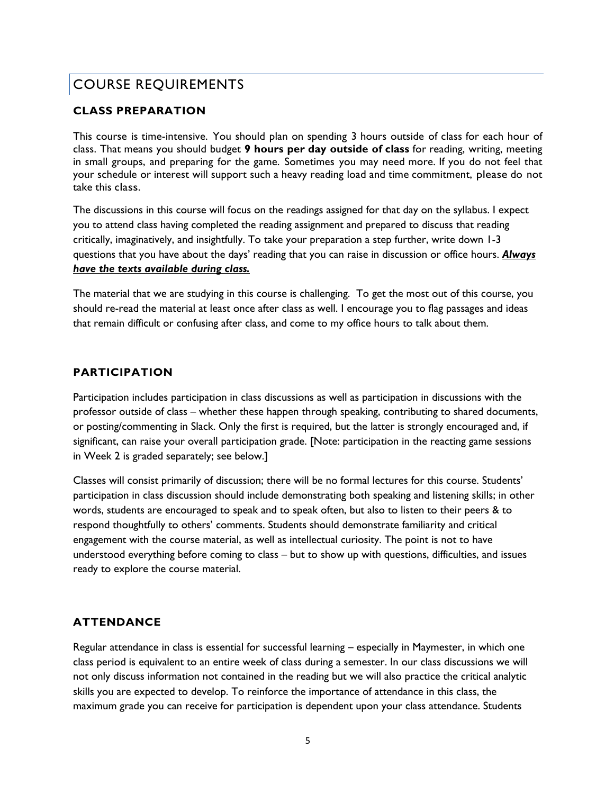# COURSE REQUIREMENTS

### **CLASS PREPARATION**

This course is time-intensive. You should plan on spending 3 hours outside of class for each hour of class. That means you should budget **9 hours per day outside of class** for reading, writing, meeting in small groups, and preparing for the game. Sometimes you may need more. If you do not feel that your schedule or interest will support such a heavy reading load and time commitment, please do not take this class.

The discussions in this course will focus on the readings assigned for that day on the syllabus. I expect you to attend class having completed the reading assignment and prepared to discuss that reading critically, imaginatively, and insightfully. To take your preparation a step further, write down 1-3 questions that you have about the days' reading that you can raise in discussion or office hours. *Always have the texts available during class.*

The material that we are studying in this course is challenging. To get the most out of this course, you should re-read the material at least once after class as well. I encourage you to flag passages and ideas that remain difficult or confusing after class, and come to my office hours to talk about them.

#### **PARTICIPATION**

Participation includes participation in class discussions as well as participation in discussions with the professor outside of class – whether these happen through speaking, contributing to shared documents, or posting/commenting in Slack. Only the first is required, but the latter is strongly encouraged and, if significant, can raise your overall participation grade. [Note: participation in the reacting game sessions in Week 2 is graded separately; see below.]

Classes will consist primarily of discussion; there will be no formal lectures for this course. Students' participation in class discussion should include demonstrating both speaking and listening skills; in other words, students are encouraged to speak and to speak often, but also to listen to their peers & to respond thoughtfully to others' comments. Students should demonstrate familiarity and critical engagement with the course material, as well as intellectual curiosity. The point is not to have understood everything before coming to class – but to show up with questions, difficulties, and issues ready to explore the course material.

# **ATTENDANCE**

Regular attendance in class is essential for successful learning – especially in Maymester, in which one class period is equivalent to an entire week of class during a semester. In our class discussions we will not only discuss information not contained in the reading but we will also practice the critical analytic skills you are expected to develop. To reinforce the importance of attendance in this class, the maximum grade you can receive for participation is dependent upon your class attendance. Students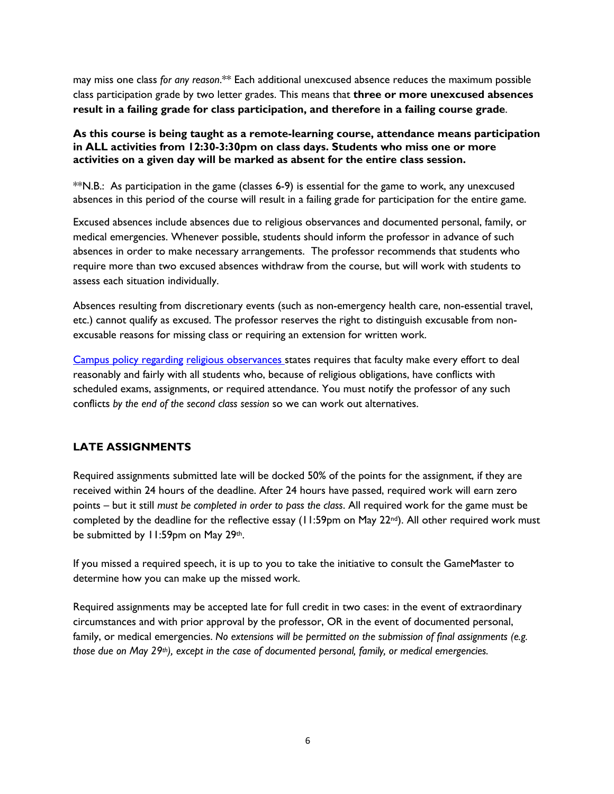may miss one class *for any reason*.\*\* Each additional unexcused absence reduces the maximum possible class participation grade by two letter grades. This means that **three or more unexcused absences result in a failing grade for class participation, and therefore in a failing course grade**.

#### **As this course is being taught as a remote-learning course, attendance means participation in ALL activities from 12:30-3:30pm on class days. Students who miss one or more activities on a given day will be marked as absent for the entire class session.**

\*\*N.B.: As participation in the game (classes 6-9) is essential for the game to work, any unexcused absences in this period of the course will result in a failing grade for participation for the entire game.

Excused absences include absences due to religious observances and documented personal, family, or medical emergencies. Whenever possible, students should inform the professor in advance of such absences in order to make necessary arrangements. The professor recommends that students who require more than two excused absences withdraw from the course, but will work with students to assess each situation individually.

Absences resulting from discretionary events (such as non-emergency health care, non-essential travel, etc.) cannot qualify as excused. The professor reserves the right to distinguish excusable from nonexcusable reasons for missing class or requiring an extension for written work.

Campus policy regarding religious observances states requires that faculty make every effort to deal reasonably and fairly with all students who, because of religious obligations, have conflicts with scheduled exams, assignments, or required attendance. You must notify the professor of any such conflicts *by the end of the second class session* so we can work out alternatives.

# **LATE ASSIGNMENTS**

Required assignments submitted late will be docked 50% of the points for the assignment, if they are received within 24 hours of the deadline. After 24 hours have passed, required work will earn zero points – but it still *must be completed in order to pass the class*. All required work for the game must be completed by the deadline for the reflective essay (11:59pm on May 22<sup>nd</sup>). All other required work must be submitted by 11:59pm on May 29th.

If you missed a required speech, it is up to you to take the initiative to consult the GameMaster to determine how you can make up the missed work.

Required assignments may be accepted late for full credit in two cases: in the event of extraordinary circumstances and with prior approval by the professor, OR in the event of documented personal, family, or medical emergencies. *No extensions will be permitted on the submission of final assignments (e.g. those due on May 29th), except in the case of documented personal, family, or medical emergencies.*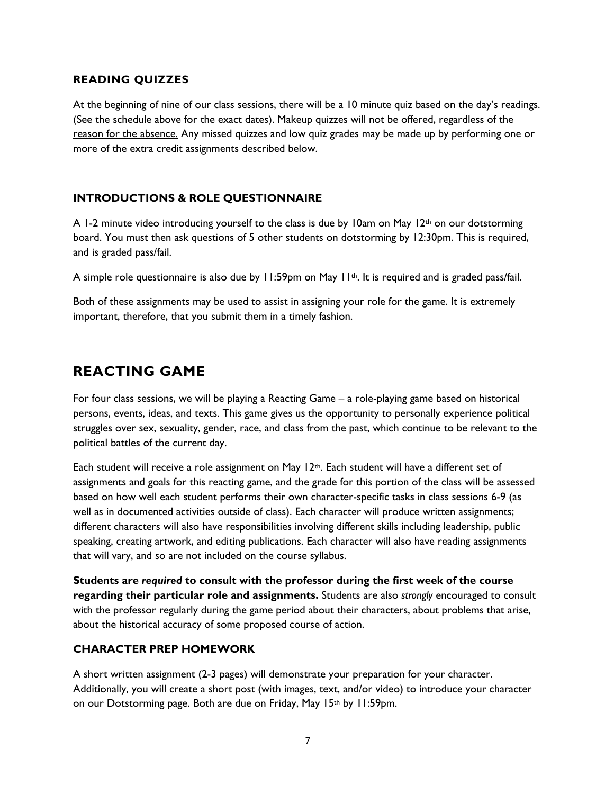#### **READING QUIZZES**

At the beginning of nine of our class sessions, there will be a 10 minute quiz based on the day's readings. (See the schedule above for the exact dates). Makeup quizzes will not be offered, regardless of the reason for the absence. Any missed quizzes and low quiz grades may be made up by performing one or more of the extra credit assignments described below.

### **INTRODUCTIONS & ROLE QUESTIONNAIRE**

A 1-2 minute video introducing yourself to the class is due by 10am on May 12<sup>th</sup> on our dotstorming board. You must then ask questions of 5 other students on dotstorming by 12:30pm. This is required, and is graded pass/fail.

A simple role questionnaire is also due by  $11:59$ pm on May  $11^{th}$ . It is required and is graded pass/fail.

Both of these assignments may be used to assist in assigning your role for the game. It is extremely important, therefore, that you submit them in a timely fashion.

# **REACTING GAME**

For four class sessions, we will be playing a Reacting Game – a role-playing game based on historical persons, events, ideas, and texts. This game gives us the opportunity to personally experience political struggles over sex, sexuality, gender, race, and class from the past, which continue to be relevant to the political battles of the current day.

Each student will receive a role assignment on May  $12<sup>th</sup>$ . Each student will have a different set of assignments and goals for this reacting game, and the grade for this portion of the class will be assessed based on how well each student performs their own character-specific tasks in class sessions 6-9 (as well as in documented activities outside of class). Each character will produce written assignments; different characters will also have responsibilities involving different skills including leadership, public speaking, creating artwork, and editing publications. Each character will also have reading assignments that will vary, and so are not included on the course syllabus.

**Students are** *required* **to consult with the professor during the first week of the course regarding their particular role and assignments.** Students are also *strongly* encouraged to consult with the professor regularly during the game period about their characters, about problems that arise, about the historical accuracy of some proposed course of action.

#### **CHARACTER PREP HOMEWORK**

A short written assignment (2-3 pages) will demonstrate your preparation for your character. Additionally, you will create a short post (with images, text, and/or video) to introduce your character on our Dotstorming page. Both are due on Friday, May 15th by 11:59pm.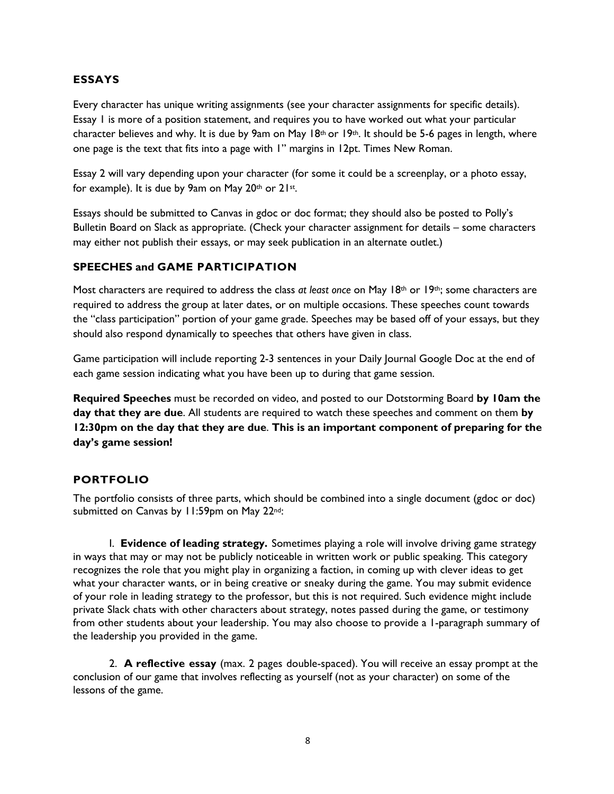#### **ESSAYS**

Every character has unique writing assignments (see your character assignments for specific details). Essay 1 is more of a position statement, and requires you to have worked out what your particular character believes and why. It is due by 9am on May 18th or 19th. It should be 5-6 pages in length, where one page is the text that fits into a page with 1" margins in 12pt. Times New Roman.

Essay 2 will vary depending upon your character (for some it could be a screenplay, or a photo essay, for example). It is due by 9am on May 20th or 21st.

Essays should be submitted to Canvas in gdoc or doc format; they should also be posted to Polly's Bulletin Board on Slack as appropriate. (Check your character assignment for details – some characters may either not publish their essays, or may seek publication in an alternate outlet.)

#### **SPEECHES and GAME PARTICIPATION**

Most characters are required to address the class *at least once* on May 18<sup>th</sup> or 19<sup>th</sup>; some characters are required to address the group at later dates, or on multiple occasions. These speeches count towards the "class participation" portion of your game grade. Speeches may be based off of your essays, but they should also respond dynamically to speeches that others have given in class.

Game participation will include reporting 2-3 sentences in your Daily Journal Google Doc at the end of each game session indicating what you have been up to during that game session.

**Required Speeches** must be recorded on video, and posted to our Dotstorming Board **by 10am the day that they are due**. All students are required to watch these speeches and comment on them **by 12:30pm on the day that they are due**. **This is an important component of preparing for the day's game session!**

#### **PORTFOLIO**

The portfolio consists of three parts, which should be combined into a single document (gdoc or doc) submitted on Canvas by 11:59pm on May 22<sup>nd</sup>:

I. **Evidence of leading strategy.** Sometimes playing a role will involve driving game strategy in ways that may or may not be publicly noticeable in written work or public speaking. This category recognizes the role that you might play in organizing a faction, in coming up with clever ideas to get what your character wants, or in being creative or sneaky during the game. You may submit evidence of your role in leading strategy to the professor, but this is not required. Such evidence might include private Slack chats with other characters about strategy, notes passed during the game, or testimony from other students about your leadership. You may also choose to provide a 1-paragraph summary of the leadership you provided in the game.

2. **A reflective essay** (max. 2 pages double-spaced). You will receive an essay prompt at the conclusion of our game that involves reflecting as yourself (not as your character) on some of the lessons of the game.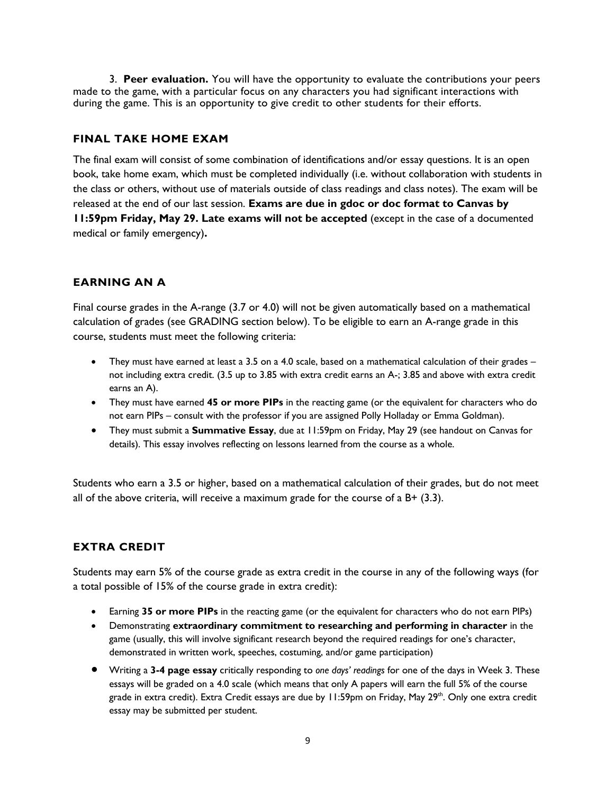3. **Peer evaluation.** You will have the opportunity to evaluate the contributions your peers made to the game, with a particular focus on any characters you had significant interactions with during the game. This is an opportunity to give credit to other students for their efforts.

### **FINAL TAKE HOME EXAM**

The final exam will consist of some combination of identifications and/or essay questions. It is an open book, take home exam, which must be completed individually (i.e. without collaboration with students in the class or others, without use of materials outside of class readings and class notes). The exam will be released at the end of our last session. **Exams are due in gdoc or doc format to Canvas by 11:59pm Friday, May 29. Late exams will not be accepted** (except in the case of a documented medical or family emergency)**.**

# **EARNING AN A**

Final course grades in the A-range (3.7 or 4.0) will not be given automatically based on a mathematical calculation of grades (see GRADING section below). To be eligible to earn an A-range grade in this course, students must meet the following criteria:

- They must have earned at least a 3.5 on a 4.0 scale, based on a mathematical calculation of their grades not including extra credit. (3.5 up to 3.85 with extra credit earns an A-; 3.85 and above with extra credit earns an A).
- They must have earned **45 or more PIPs** in the reacting game (or the equivalent for characters who do not earn PIPs – consult with the professor if you are assigned Polly Holladay or Emma Goldman).
- They must submit a **Summative Essay**, due at 11:59pm on Friday, May 29 (see handout on Canvas for details). This essay involves reflecting on lessons learned from the course as a whole.

Students who earn a 3.5 or higher, based on a mathematical calculation of their grades, but do not meet all of the above criteria, will receive a maximum grade for the course of a  $B+ (3.3)$ .

# **EXTRA CREDIT**

Students may earn 5% of the course grade as extra credit in the course in any of the following ways (for a total possible of 15% of the course grade in extra credit):

- Earning **35 or more PIPs** in the reacting game (or the equivalent for characters who do not earn PIPs)
- Demonstrating **extraordinary commitment to researching and performing in character** in the game (usually, this will involve significant research beyond the required readings for one's character, demonstrated in written work, speeches, costuming, and/or game participation)
- Writing a **3-4 page essay** critically responding to *one days' readings* for one of the days in Week 3. These essays will be graded on a 4.0 scale (which means that only A papers will earn the full 5% of the course grade in extra credit). Extra Credit essays are due by 11:59pm on Friday, May 29<sup>th</sup>. Only one extra credit essay may be submitted per student.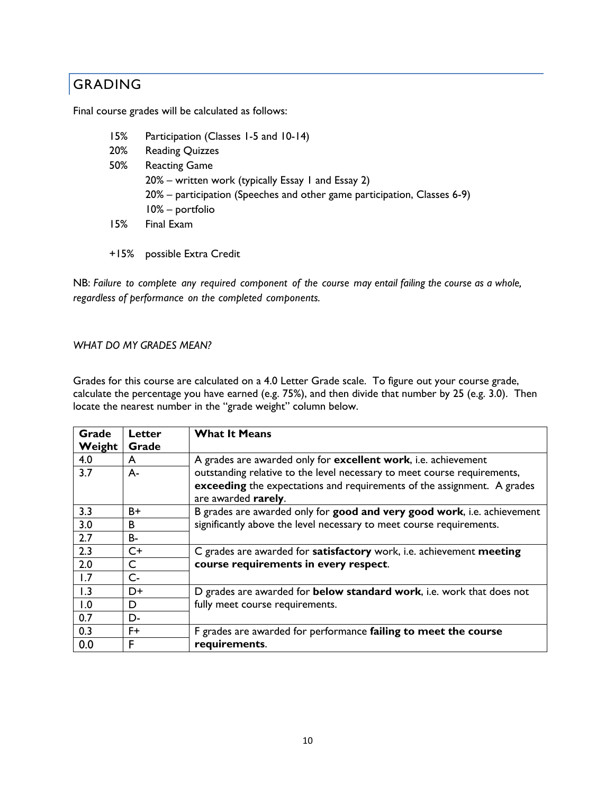# GRADING

Final course grades will be calculated as follows:

- 15% Participation (Classes 1-5 and 10-14) 20% Reading Quizzes 50% Reacting Game 20% – written work (typically Essay 1 and Essay 2) 20% – participation (Speeches and other game participation, Classes 6-9) 10% – portfolio 15% Final Exam
- +15% possible Extra Credit

NB: *Failure to complete any required component of the course may entail failing the course as a whole, regardless of performance on the completed components.*

#### *WHAT DO MY GRADES MEAN?*

Grades for this course are calculated on a 4.0 Letter Grade scale. To figure out your course grade, calculate the percentage you have earned (e.g. 75%), and then divide that number by 25 (e.g. 3.0). Then locate the nearest number in the "grade weight" column below.

| Grade  | Letter    | <b>What It Means</b>                                                          |  |
|--------|-----------|-------------------------------------------------------------------------------|--|
| Weight | Grade     |                                                                               |  |
| 4.0    | A         | A grades are awarded only for <b>excellent work</b> , i.e. achievement        |  |
| 3.7    | A-        | outstanding relative to the level necessary to meet course requirements,      |  |
|        |           | exceeding the expectations and requirements of the assignment. A grades       |  |
|        |           | are awarded rarely.                                                           |  |
| 3.3    | B+        | B grades are awarded only for good and very good work, i.e. achievement       |  |
| 3.0    | B         | significantly above the level necessary to meet course requirements.          |  |
| 2.7    | <b>B-</b> |                                                                               |  |
| 2.3    | $C+$      | C grades are awarded for satisfactory work, i.e. achievement meeting          |  |
| 2.0    | C         | course requirements in every respect.                                         |  |
| 1.7    | $C -$     |                                                                               |  |
| 1.3    | D+        | D grades are awarded for <b>below standard work</b> , i.e. work that does not |  |
| 1.0    | D         | fully meet course requirements.                                               |  |
| 0.7    | D-        |                                                                               |  |
| 0.3    | F+        | F grades are awarded for performance failing to meet the course               |  |
| 0.0    | F         | requirements.                                                                 |  |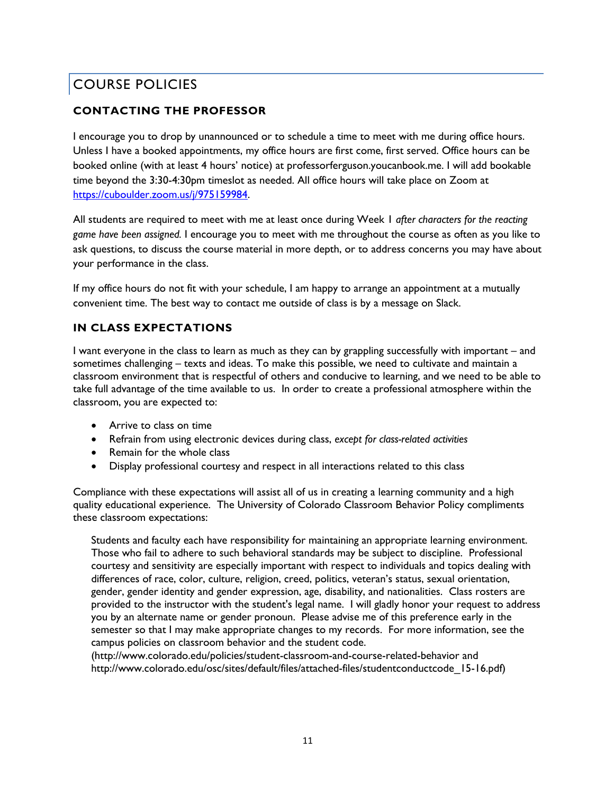# COURSE POLICIES

# **CONTACTING THE PROFESSOR**

I encourage you to drop by unannounced or to schedule a time to meet with me during office hours. Unless I have a booked appointments, my office hours are first come, first served. Office hours can be booked online (with at least 4 hours' notice) at professorferguson.youcanbook.me. I will add bookable time beyond the 3:30-4:30pm timeslot as needed. All office hours will take place on Zoom at https://cuboulder.zoom.us/j/975159984.

All students are required to meet with me at least once during Week 1 *after characters for the reacting game have been assigned.* I encourage you to meet with me throughout the course as often as you like to ask questions, to discuss the course material in more depth, or to address concerns you may have about your performance in the class.

If my office hours do not fit with your schedule, I am happy to arrange an appointment at a mutually convenient time. The best way to contact me outside of class is by a message on Slack.

# **IN CLASS EXPECTATIONS**

I want everyone in the class to learn as much as they can by grappling successfully with important – and sometimes challenging – texts and ideas. To make this possible, we need to cultivate and maintain a classroom environment that is respectful of others and conducive to learning, and we need to be able to take full advantage of the time available to us. In order to create a professional atmosphere within the classroom, you are expected to:

- Arrive to class on time
- Refrain from using electronic devices during class, *except for class-related activities*
- Remain for the whole class
- Display professional courtesy and respect in all interactions related to this class

Compliance with these expectations will assist all of us in creating a learning community and a high quality educational experience. The University of Colorado Classroom Behavior Policy compliments these classroom expectations:

Students and faculty each have responsibility for maintaining an appropriate learning environment. Those who fail to adhere to such behavioral standards may be subject to discipline. Professional courtesy and sensitivity are especially important with respect to individuals and topics dealing with differences of race, color, culture, religion, creed, politics, veteran's status, sexual orientation, gender, gender identity and gender expression, age, disability, and nationalities. Class rosters are provided to the instructor with the student's legal name. I will gladly honor your request to address you by an alternate name or gender pronoun. Please advise me of this preference early in the semester so that I may make appropriate changes to my records. For more information, see the campus policies on classroom behavior and the student code.

(http://www.colorado.edu/policies/student-classroom-and-course-related-behavior and http://www.colorado.edu/osc/sites/default/files/attached-files/studentconductcode\_15-16.pdf)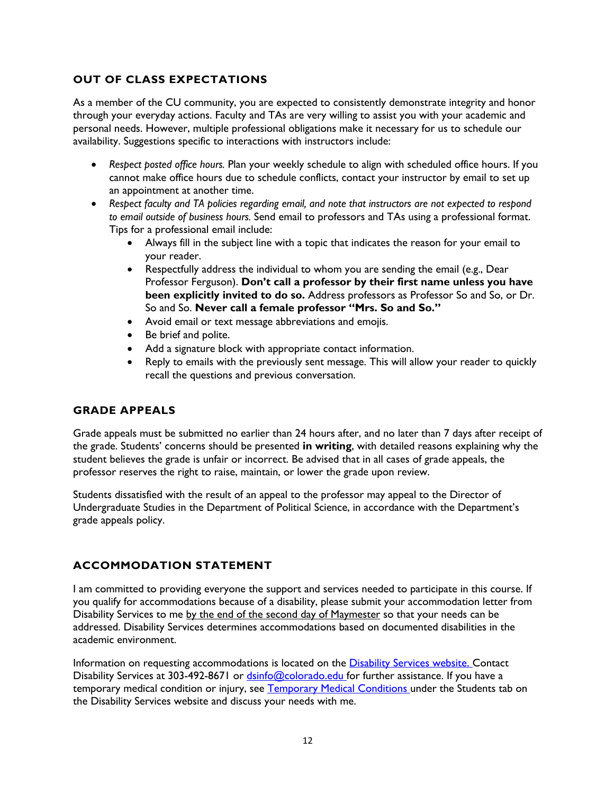# **OUT OF CLASS EXPECTATIONS**

As a member of the CU community, you are expected to consistently demonstrate integrity and honor through your everyday actions. Faculty and TAs are very willing to assist you with your academic and personal needs. However, multiple professional obligations make it necessary for us to schedule our availability. Suggestions specific to interactions with instructors include:

- *Respect posted office hours.* Plan your weekly schedule to align with scheduled office hours. If you cannot make office hours due to schedule conflicts, contact your instructor by email to set up an appointment at another time.
- *Respect faculty and TA policies regarding email, and note that instructors are not expected to respond to email outside of business hours.* Send email to professors and TAs using a professional format. Tips for a professional email include:
	- Always fill in the subject line with a topic that indicates the reason for your email to your reader.
	- Respectfully address the individual to whom you are sending the email (e.g., Dear Professor Ferguson). **Don't call a professor by their first name unless you have been explicitly invited to do so.** Address professors as Professor So and So, or Dr. So and So. **Never call a female professor "Mrs. So and So."**
	- Avoid email or text message abbreviations and emojis.
	- Be brief and polite.
	- Add a signature block with appropriate contact information.
	- Reply to emails with the previously sent message. This will allow your reader to quickly recall the questions and previous conversation.

#### **GRADE APPEALS**

Grade appeals must be submitted no earlier than 24 hours after, and no later than 7 days after receipt of the grade. Students' concerns should be presented **in writing**, with detailed reasons explaining why the student believes the grade is unfair or incorrect. Be advised that in all cases of grade appeals, the professor reserves the right to raise, maintain, or lower the grade upon review.

Students dissatisfied with the result of an appeal to the professor may appeal to the Director of Undergraduate Studies in the Department of Political Science, in accordance with the Department's grade appeals policy.

# **ACCOMMODATION STATEMENT**

I am committed to providing everyone the support and services needed to participate in this course. If you qualify for accommodations because of a disability, please submit your accommodation letter from Disability Services to me by the end of the second day of Maymester so that your needs can be addressed. Disability Services determines accommodations based on documented disabilities in the academic environment.

Information on requesting accommodations is located on the Disability Services website. Contact Disability Services at 303-492-8671 or dsinfo@colorado.edu for further assistance. If you have a temporary medical condition or injury, see Temporary Medical Conditions under the Students tab on the Disability Services website and discuss your needs with me.